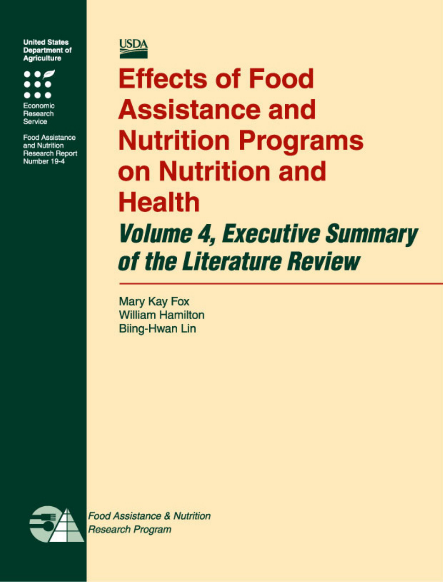**United States Department of Agriculture** 

Economic Research Service

Food Assistance and Nutrition **Research Report** Number 19-4



# **Effects of Food Assistance and Nutrition Programs** on Nutrition and Health **Volume 4, Executive Summary** of the Literature Review

**Mary Kay Fox William Hamilton Biing-Hwan Lin** 



**Food Assistance & Nutrition Research Program**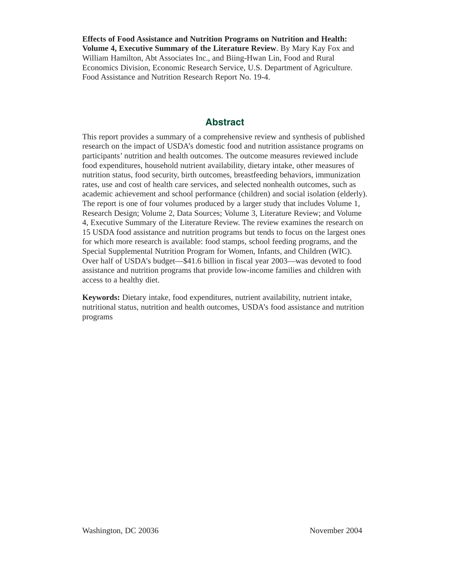**Effects of Food Assistance and Nutrition Programs on Nutrition and Health: Volume 4, Executive Summary of the Literature Review**. By Mary Kay Fox and William Hamilton, Abt Associates Inc., and Biing-Hwan Lin, Food and Rural Economics Division, Economic Research Service, U.S. Department of Agriculture. Food Assistance and Nutrition Research Report No. 19-4.

#### **Abstract**

This report provides a summary of a comprehensive review and synthesis of published research on the impact of USDA's domestic food and nutrition assistance programs on participants' nutrition and health outcomes. The outcome measures reviewed include food expenditures, household nutrient availability, dietary intake, other measures of nutrition status, food security, birth outcomes, breastfeeding behaviors, immunization rates, use and cost of health care services, and selected nonhealth outcomes, such as academic achievement and school performance (children) and social isolation (elderly). The report is one of four volumes produced by a larger study that includes Volume 1, Research Design; Volume 2, Data Sources; Volume 3, Literature Review; and Volume 4, Executive Summary of the Literature Review. The review examines the research on 15 USDA food assistance and nutrition programs but tends to focus on the largest ones for which more research is available: food stamps, school feeding programs, and the Special Supplemental Nutrition Program for Women, Infants, and Children (WIC). Over half of USDA's budget—\$41.6 billion in fiscal year 2003—was devoted to food assistance and nutrition programs that provide low-income families and children with access to a healthy diet.

**Keywords:** Dietary intake, food expenditures, nutrient availability, nutrient intake, nutritional status, nutrition and health outcomes, USDA's food assistance and nutrition programs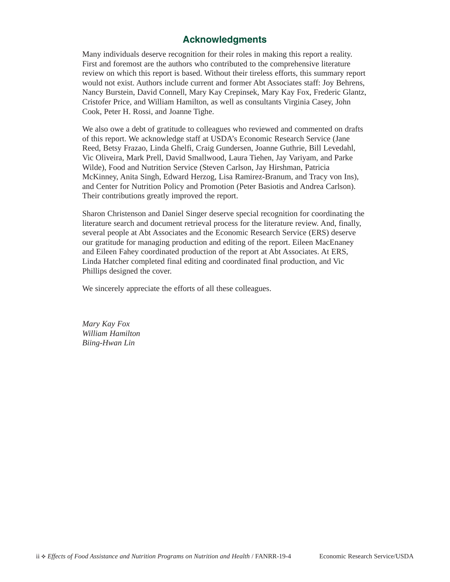## **Acknowledgments**

Many individuals deserve recognition for their roles in making this report a reality. First and foremost are the authors who contributed to the comprehensive literature review on which this report is based. Without their tireless efforts, this summary report would not exist. Authors include current and former Abt Associates staff: Joy Behrens, Nancy Burstein, David Connell, Mary Kay Crepinsek, Mary Kay Fox, Frederic Glantz, Cristofer Price, and William Hamilton, as well as consultants Virginia Casey, John Cook, Peter H. Rossi, and Joanne Tighe.

We also owe a debt of gratitude to colleagues who reviewed and commented on drafts of this report. We acknowledge staff at USDA's Economic Research Service (Jane Reed, Betsy Frazao, Linda Ghelfi, Craig Gundersen, Joanne Guthrie, Bill Levedahl, Vic Oliveira, Mark Prell, David Smallwood, Laura Tiehen, Jay Variyam, and Parke Wilde), Food and Nutrition Service (Steven Carlson, Jay Hirshman, Patricia McKinney, Anita Singh, Edward Herzog, Lisa Ramirez-Branum, and Tracy von Ins), and Center for Nutrition Policy and Promotion (Peter Basiotis and Andrea Carlson). Their contributions greatly improved the report.

Sharon Christenson and Daniel Singer deserve special recognition for coordinating the literature search and document retrieval process for the literature review. And, finally, several people at Abt Associates and the Economic Research Service (ERS) deserve our gratitude for managing production and editing of the report. Eileen MacEnaney and Eileen Fahey coordinated production of the report at Abt Associates. At ERS, Linda Hatcher completed final editing and coordinated final production, and Vic Phillips designed the cover.

We sincerely appreciate the efforts of all these colleagues.

*Mary Kay Fox William Hamilton Biing-Hwan Lin*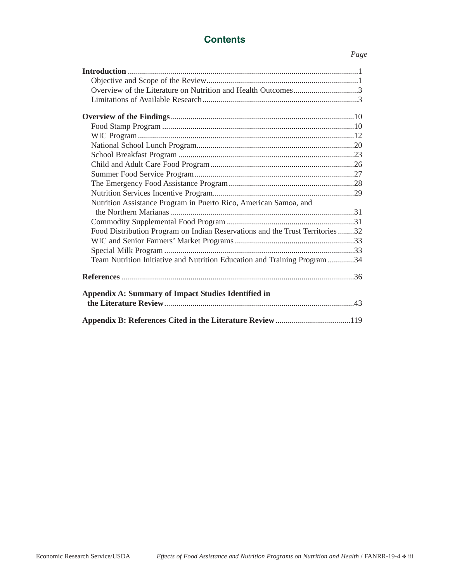## **Contents**

### *Page*

| Overview of the Literature on Nutrition and Health Outcomes3                 |  |
|------------------------------------------------------------------------------|--|
|                                                                              |  |
|                                                                              |  |
|                                                                              |  |
|                                                                              |  |
|                                                                              |  |
|                                                                              |  |
|                                                                              |  |
|                                                                              |  |
|                                                                              |  |
|                                                                              |  |
| Nutrition Assistance Program in Puerto Rico, American Samoa, and             |  |
|                                                                              |  |
|                                                                              |  |
| Food Distribution Program on Indian Reservations and the Trust Territories32 |  |
|                                                                              |  |
|                                                                              |  |
| Team Nutrition Initiative and Nutrition Education and Training Program 34    |  |
|                                                                              |  |
| <b>Appendix A: Summary of Impact Studies Identified in</b>                   |  |
|                                                                              |  |
|                                                                              |  |